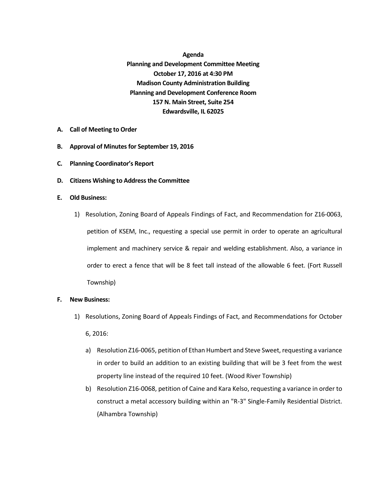**Agenda Planning and Development Committee Meeting October 17, 2016 at 4:30 PM Madison County Administration Building Planning and Development Conference Room 157 N. Main Street, Suite 254 Edwardsville, IL 62025**

- **A. Call of Meeting to Order**
- **B.** Approval of Minutes for September 19, 2016
- **C. Planning Coordinator's Report**
- **D. Citizens Wishing to Address the Committee**
- **E. Old Business:**
	- 1) Resolution, Zoning Board of Appeals Findings of Fact, and Recommendation for Z16-0063, petition of KSEM, Inc., requesting a special use permit in order to operate an agricultural implement and machinery service & repair and welding establishment. Also, a variance in order to erect a fence that will be 8 feet tall instead of the allowable 6 feet. (Fort Russell Township)
- **F. New Business:**
	- 1) Resolutions, Zoning Board of Appeals Findings of Fact, and Recommendations for October 6, 2016:
		- a) Resolution Z16-0065, petition of Ethan Humbert and Steve Sweet, requesting a variance in order to build an addition to an existing building that will be 3 feet from the west property line instead of the required 10 feet. (Wood River Township)
		- b) Resolution Z16-0068, petition of Caine and Kara Kelso, requesting a variance in order to construct a metal accessory building within an "R-3" Single-Family Residential District. (Alhambra Township)